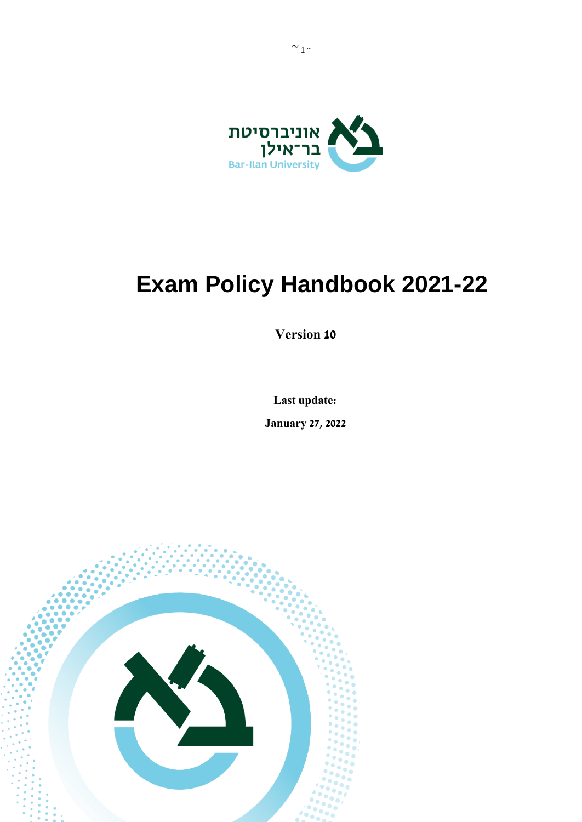

# **Exam Policy Handbook 2021-22**

**Version 10**

**Last update:** 

**January 27, 2022**

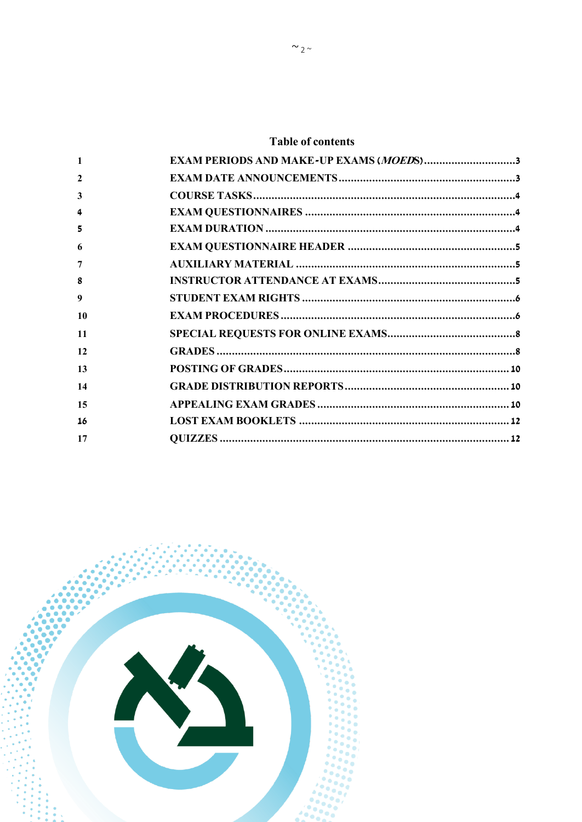# **Table of contents**

|    | EXAM PERIODS AND MAKE-UP EXAMS (MOEDS)3 |
|----|-----------------------------------------|
| 2  |                                         |
| 3  |                                         |
| 4  |                                         |
| 5  |                                         |
| 6  |                                         |
| 7  |                                         |
| 8  |                                         |
| 9  |                                         |
| 10 |                                         |
| 11 |                                         |
| 12 |                                         |
| 13 |                                         |
| 14 |                                         |
| 15 |                                         |
| 16 |                                         |
| 17 |                                         |
|    |                                         |

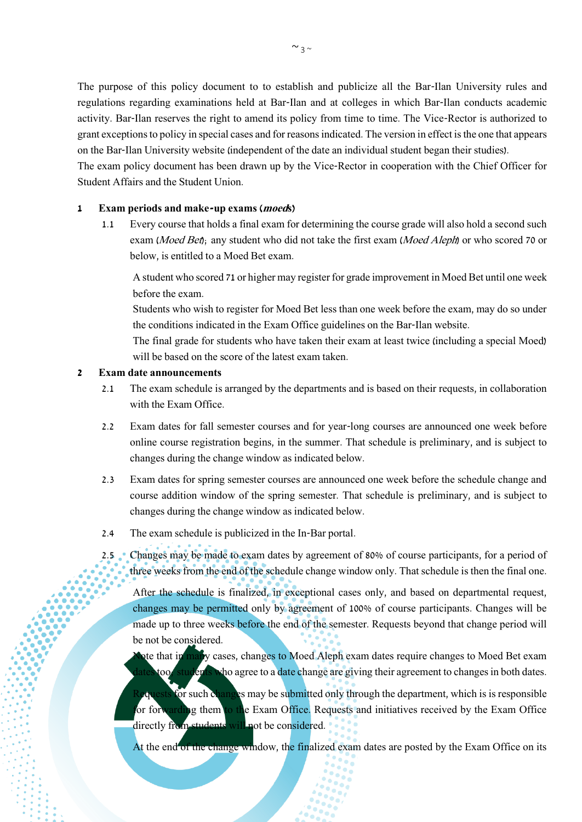The purpose of this policy document to to establish and publicize all the Bar-Ilan University rules and regulations regarding examinations held at Bar-Ilan and at colleges in which Bar-Ilan conducts academic activity. Bar-Ilan reserves the right to amend its policy from time to time. The Vice-Rector is authorized to grant exceptions to policy in special cases and for reasons indicated. The version in effect is the one that appears on the Bar-Ilan University website (independent of the date an individual student began their studies).

The exam policy document has been drawn up by the Vice-Rector in cooperation with the Chief Officer for Student Affairs and the Student Union.

#### <span id="page-2-0"></span>**1 Exam periods and make-up exams (moeds)**

1.1 Every course that holds a final exam for determining the course grade will also hold a second such exam (Moed Bet); any student who did not take the first exam (Moed Aleph) or who scored 70 or below, is entitled to a Moed Bet exam.

A student who scored 71 or higher may register for grade improvement in Moed Bet until one week before the exam.

Students who wish to register for Moed Bet less than one week before the exam, may do so under the conditions indicated in the Exam Office guidelines on the Bar-Ilan website.

The final grade for students who have taken their exam at least twice (including a special Moed) will be based on the score of the latest exam taken.

#### <span id="page-2-1"></span>**2 Exam date announcements**

- 2.1 The exam schedule is arranged by the departments and is based on their requests, in collaboration with the Exam Office.
- 2.2 Exam dates for fall semester courses and for year-long courses are announced one week before online course registration begins, in the summer. That schedule is preliminary, and is subject to changes during the change window as indicated below.
- 2.3 Exam dates for spring semester courses are announced one week before the schedule change and course addition window of the spring semester. That schedule is preliminary, and is subject to changes during the change window as indicated below.
- 2.4 The exam schedule is publicized in the In-Bar portal.
- 2.5 Changes may be made to exam dates by agreement of 80% of course participants, for a period of three weeks from the end of the schedule change window only. That schedule is then the final one.

After the schedule is finalized, in exceptional cases only, and based on departmental request, changes may be permitted only by agreement of 100% of course participants. Changes will be made up to three weeks before the end of the semester. Requests beyond that change period will be not be considered.

nte that in many cases, changes to Moed Aleph exam dates require changes to Moed Bet exam too, students who agree to a date change are giving their agreement to changes in both dates.

**Piquests for such changes may be submitted only through the department, which is is responsible** for forwarding them to the Exam Office. Requests and initiatives received by the Exam Office directly from students will not be considered.

At the end of the change window, the finalized exam dates are posted by the Exam Office on its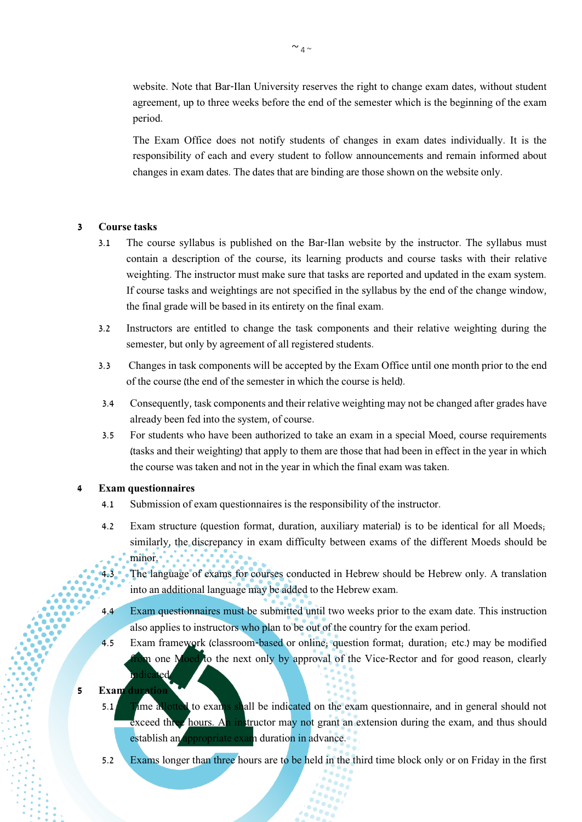website. Note that Bar-Ilan University reserves the right to change exam dates, without student agreement, up to three weeks before the end of the semester which is the beginning of the exam period.

The Exam Office does not notify students of changes in exam dates individually. It is the responsibility of each and every student to follow announcements and remain informed about changes in exam dates. The dates that are binding are those shown on the website only.

#### <span id="page-3-0"></span>**3 Course tasks**

- 3.1 The course syllabus is published on the Bar-Ilan website by the instructor. The syllabus must contain a description of the course, its learning products and course tasks with their relative weighting. The instructor must make sure that tasks are reported and updated in the exam system. If course tasks and weightings are not specified in the syllabus by the end of the change window, the final grade will be based in its entirety on the final exam.
- 3.2 Instructors are entitled to change the task components and their relative weighting during the semester, but only by agreement of all registered students.
- 3.3 Changes in task components will be accepted by the Exam Office until one month prior to the end of the course (the end of the semester in which the course is held).
- 3.4 Consequently, task components and their relative weighting may not be changed after grades have already been fed into the system, of course.
- 3.5 For students who have been authorized to take an exam in a special Moed, course requirements (tasks and their weighting) that apply to them are those that had been in effect in the year in which the course was taken and not in the year in which the final exam was taken.

#### <span id="page-3-1"></span>**4 Exam questionnaires**

- 4.1 Submission of exam questionnaires is the responsibility of the instructor.
- 4.2 Exam structure (question format, duration, auxiliary material) is to be identical for all Moeds; similarly, the discrepancy in exam difficulty between exams of the different Moeds should be minor.
- 4.3 The language of exams for courses conducted in Hebrew should be Hebrew only. A translation into an additional language may be added to the Hebrew exam.
- 4.4 Exam questionnaires must be submitted until two weeks prior to the exam date. This instruction also applies to instructors who plan to be out of the country for the exam period.
- 4.5 Exam framework (classroom-based or online; question format; duration; etc.) may be modified is one Moed to the next only by approval of the Vice-Rector and for good reason, clearly indicated.

## <span id="page-3-2"></span>**5 Exam duration**

- 5.1 Time allotted to exams shall be indicated on the exam questionnaire, and in general should not exceed three hours. An instructor may not grant an extension during the exam, and thus should establish an appropriate exam duration in advance.
- 5.2 Exams longer than three hours are to be held in the third time block only or on Friday in the first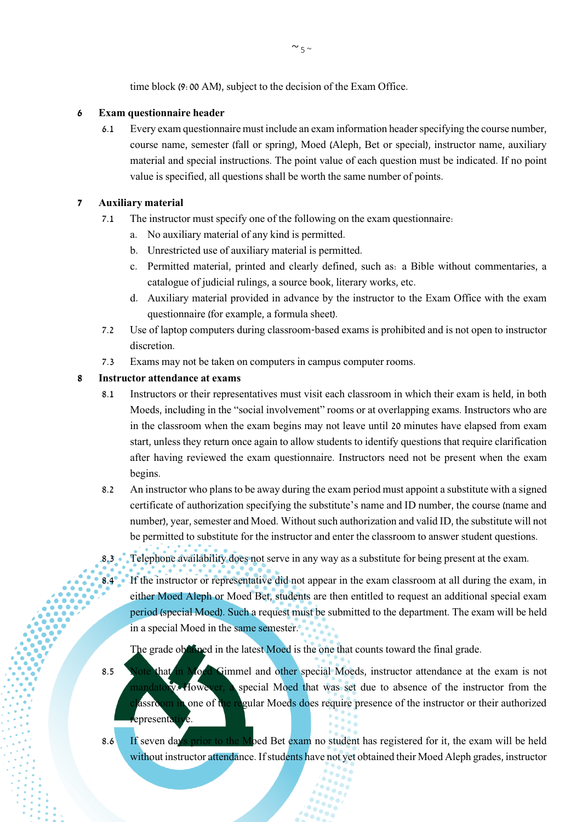time block (9:00 AM), subject to the decision of the Exam Office.

## <span id="page-4-0"></span>**6 Exam questionnaire header**

6.1 Every exam questionnaire must include an exam information header specifying the course number, course name, semester (fall or spring), Moed (Aleph, Bet or special), instructor name, auxiliary material and special instructions. The point value of each question must be indicated. If no point value is specified, all questions shall be worth the same number of points.

## <span id="page-4-1"></span>**7 Auxiliary material**

- 7.1 The instructor must specify one of the following on the exam questionnaire:
	- a. No auxiliary material of any kind is permitted.
	- b. Unrestricted use of auxiliary material is permitted.
	- c. Permitted material, printed and clearly defined, such as: a Bible without commentaries, a catalogue of judicial rulings, a source book, literary works, etc.
	- d. Auxiliary material provided in advance by the instructor to the Exam Office with the exam questionnaire (for example, a formula sheet).
- 7.2 Use of laptop computers during classroom-based exams is prohibited and is not open to instructor discretion.
- 7.3 Exams may not be taken on computers in campus computer rooms.

## <span id="page-4-2"></span>**8 Instructor attendance at exams**

- 8.1 Instructors or their representatives must visit each classroom in which their exam is held, in both Moeds, including in the "social involvement" rooms or at overlapping exams. Instructors who are in the classroom when the exam begins may not leave until 20 minutes have elapsed from exam start, unless they return once again to allow students to identify questions that require clarification after having reviewed the exam questionnaire. Instructors need not be present when the exam begins.
- 8.2 An instructor who plans to be away during the exam period must appoint a substitute with a signed certificate of authorization specifying the substitute's name and ID number, the course (name and number), year, semester and Moed. Without such authorization and valid ID, the substitute will not be permitted to substitute for the instructor and enter the classroom to answer student questions.
- 8.3 Telephone availability does not serve in any way as a substitute for being present at the exam.
- 8.4 If the instructor or representative did not appear in the exam classroom at all during the exam, in either Moed Aleph or Moed Bet, students are then entitled to request an additional special exam period (special Moed). Such a request must be submitted to the department. The exam will be held in a special Moed in the same semester.

The grade obtained in the latest Moed is the one that counts toward the final grade.

- 8.5 Note that in Moed Gimmel and other special Moeds, instructor attendance at the exam is not mandatory. However, a special Moed that was set due to absence of the instructor from the assroom in one of the regular Moeds does require presence of the instructor or their authorized epresentative.
- 8.6 If seven days prior to the Moed Bet exam no student has registered for it, the exam will be held without instructor attendance. If students have not yet obtained their Moed Aleph grades, instructor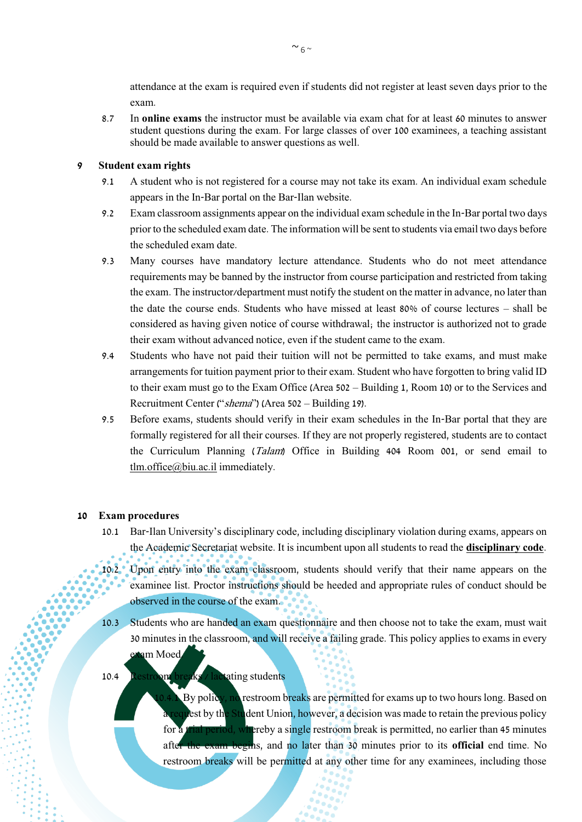attendance at the exam is required even if students did not register at least seven days prior to the exam.

8.7 In **online exams** the instructor must be available via exam chat for at least 60 minutes to answer student questions during the exam. For large classes of over 100 examinees, a teaching assistant should be made available to answer questions as well.

## <span id="page-5-0"></span>**9 Student exam rights**

- 9.1 A student who is not registered for a course may not take its exam. An individual exam schedule appears in the In-Bar portal on the Bar-Ilan website.
- 9.2 Exam classroom assignments appear on the individual exam schedule in the In-Bar portal two days prior to the scheduled exam date. The information will be sent to students via email two days before the scheduled exam date.
- 9.3 Many courses have mandatory lecture attendance. Students who do not meet attendance requirements may be banned by the instructor from course participation and restricted from taking the exam. The instructor/department must notify the student on the matter in advance, no later than the date the course ends. Students who have missed at least 80% of course lectures – shall be considered as having given notice of course withdrawal; the instructor is authorized not to grade their exam without advanced notice, even if the student came to the exam.
- 9.4 Students who have not paid their tuition will not be permitted to take exams, and must make arrangements for tuition payment prior to their exam. Student who have forgotten to bring valid ID to their exam must go to the Exam Office (Area 502 – Building 1, Room 10) or to the Services and Recruitment Center ("shema") (Area 502 – Building 19).
- 9.5 Before exams, students should verify in their exam schedules in the In-Bar portal that they are formally registered for all their courses. If they are not properly registered, students are to contact the Curriculum Planning (Talam) Office in Building 404 Room 001, or send email to tlm.office@biu.ac.il immediately.

#### <span id="page-5-1"></span>**10 Exam procedures**

- 10.1 Bar-Ilan University's disciplinary code, including disciplinary violation during exams, appears on the Academic Secretariat website. It is incumbent upon all students to read the **[disciplinary code](http://www.biu.ac.il/academic-secretary/TakMishmaatStudentim.htm)**.
- 10.2 Upon entry into the exam classroom, students should verify that their name appears on the examinee list. Proctor instructions should be heeded and appropriate rules of conduct should be observed in the course of the exam.
- 10.3 Students who are handed an exam questionnaire and then choose not to take the exam, must wait 30 minutes in the classroom, and will receive a failing grade. This policy applies to exams in every am Moed.

#### 10.4 Restroom breaks / lactating students

By policy, no restroom breaks are permitted for exams up to two hours long. Based on lest by the Student Union, however, a decision was made to retain the previous policy for a trial period, whereby a single restroom break is permitted, no earlier than 45 minutes after the exam begins, and no later than 30 minutes prior to its **official** end time. No restroom breaks will be permitted at any other time for any examinees, including those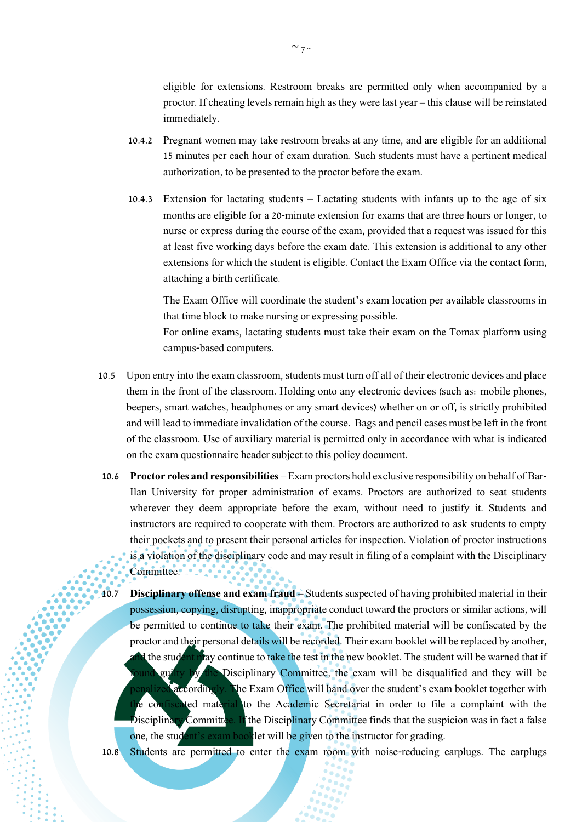eligible for extensions. Restroom breaks are permitted only when accompanied by a proctor. If cheating levels remain high as they were last year – this clause will be reinstated immediately.

- 10.4.2 Pregnant women may take restroom breaks at any time, and are eligible for an additional 15 minutes per each hour of exam duration. Such students must have a pertinent medical authorization, to be presented to the proctor before the exam.
- 10.4.3 Extension for lactating students Lactating students with infants up to the age of six months are eligible for a 20-minute extension for exams that are three hours or longer, to nurse or express during the course of the exam, provided that a request was issued for this at least five working days before the exam date. This extension is additional to any other extensions for which the student is eligible. Contact the Exam Office via the contact form, attaching a birth certificate.

The Exam Office will coordinate the student's exam location per available classrooms in that time block to make nursing or expressing possible.

For online exams, lactating students must take their exam on the Tomax platform using campus-based computers.

- 10.5 Upon entry into the exam classroom, students must turn off all of their electronic devices and place them in the front of the classroom. Holding onto any electronic devices (such as: mobile phones, beepers, smart watches, headphones or any smart devices) whether on or off, is strictly prohibited and will lead to immediate invalidation of the course. Bags and pencil cases must be left in the front of the classroom. Use of auxiliary material is permitted only in accordance with what is indicated on the exam questionnaire header subject to this policy document.
- 10.6 **Proctor roles and responsibilities** Exam proctors hold exclusive responsibility on behalf of Bar-Ilan University for proper administration of exams. Proctors are authorized to seat students wherever they deem appropriate before the exam, without need to justify it. Students and instructors are required to cooperate with them. Proctors are authorized to ask students to empty their pockets and to present their personal articles for inspection. Violation of proctor instructions is a violation of the disciplinary code and may result in filing of a complaint with the Disciplinary Committee.
- 10.7 **Disciplinary offense and exam fraud** Students suspected of having prohibited material in their possession, copying, disrupting, inappropriate conduct toward the proctors or similar actions, will be permitted to continue to take their exam. The prohibited material will be confiscated by the proctor and their personal details will be recorded. Their exam booklet will be replaced by another, If the student may continue to take the test in the new booklet. The student will be warned that if found guilty by the Disciplinary Committee, the exam will be disqualified and they will be alized accordingly. The Exam Office will hand over the student's exam booklet together with the confiscated material to the Academic Secretariat in order to file a complaint with the Disciplinary Committee. If the Disciplinary Committee finds that the suspicion was in fact a false one, the student's exam booklet will be given to the instructor for grading.
- 10.8 Students are permitted to enter the exam room with noise-reducing earplugs. The earplugs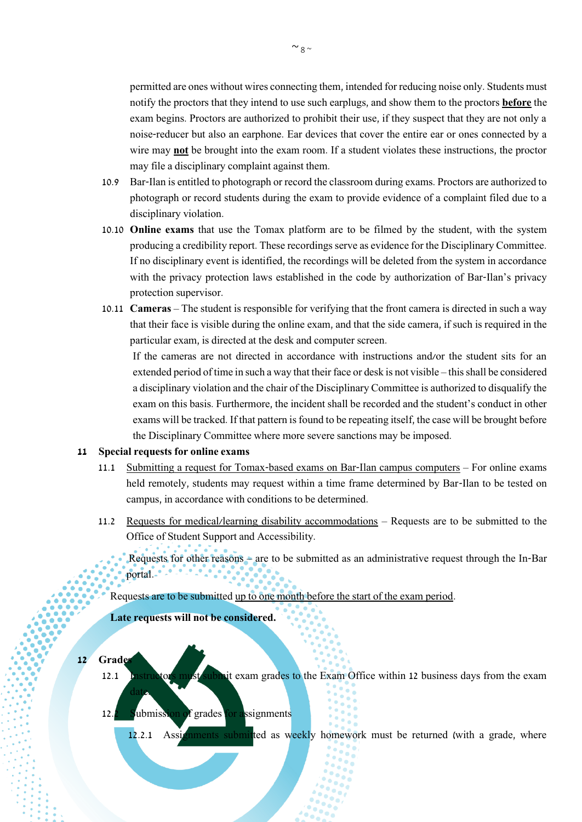permitted are ones without wires connecting them, intended for reducing noise only. Students must notify the proctors that they intend to use such earplugs, and show them to the proctors **before** the exam begins. Proctors are authorized to prohibit their use, if they suspect that they are not only a noise-reducer but also an earphone. Ear devices that cover the entire ear or ones connected by a wire may **not** be brought into the exam room. If a student violates these instructions, the proctor may file a disciplinary complaint against them.

- 10.9 Bar-Ilan is entitled to photograph or record the classroom during exams. Proctors are authorized to photograph or record students during the exam to provide evidence of a complaint filed due to a disciplinary violation.
- 10.10 **Online exams** that use the Tomax platform are to be filmed by the student, with the system producing a credibility report. These recordings serve as evidence for the Disciplinary Committee. If no disciplinary event is identified, the recordings will be deleted from the system in accordance with the privacy protection laws established in the code by authorization of Bar-Ilan's privacy protection supervisor.
- 10.11 **Cameras** The student is responsible for verifying that the front camera is directed in such a way that their face is visible during the online exam, and that the side camera, if such is required in the particular exam, is directed at the desk and computer screen.

If the cameras are not directed in accordance with instructions and/or the student sits for an extended period of time in such a way that their face or desk is not visible – this shall be considered a disciplinary violation and the chair of the Disciplinary Committee is authorized to disqualify the exam on this basis. Furthermore, the incident shall be recorded and the student's conduct in other exams will be tracked. If that pattern is found to be repeating itself, the case will be brought before the Disciplinary Committee where more severe sanctions may be imposed.

#### <span id="page-7-0"></span>**11 Special requests for online exams**

- 11.1 Submitting a request for Tomax-based exams on Bar-Ilan campus computers For online exams held remotely, students may request within a time frame determined by Bar-Ilan to be tested on campus, in accordance with conditions to be determined.
- 11.2 Requests for medical/learning disability accommodations Requests are to be submitted to the Office of Student Support and Accessibility.
	- Requests for other reasons are to be submitted as an administrative request through the In-Bar portal.

Requests are to be submitted up to one month before the start of the exam period.

**Late requests will not be considered.**

<span id="page-7-1"></span>**12 Grades**

date.

- 12.1 Instructors must submit exam grades to the Exam Office within 12 business days from the exam
- 12.2 Submission of grades for assignments

12.2.1 Assignments submitted as weekly homework must be returned (with a grade, where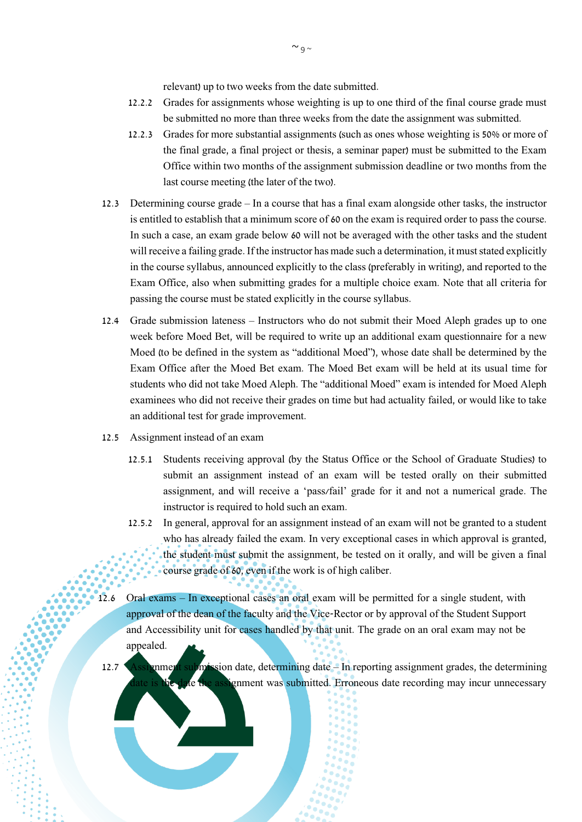relevant) up to two weeks from the date submitted.

- 12.2.2 Grades for assignments whose weighting is up to one third of the final course grade must be submitted no more than three weeks from the date the assignment was submitted.
- 12.2.3 Grades for more substantial assignments (such as ones whose weighting is 50% or more of the final grade, a final project or thesis, a seminar paper) must be submitted to the Exam Office within two months of the assignment submission deadline or two months from the last course meeting (the later of the two).
- 12.3 Determining course grade In a course that has a final exam alongside other tasks, the instructor is entitled to establish that a minimum score of 60 on the exam is required order to pass the course. In such a case, an exam grade below 60 will not be averaged with the other tasks and the student will receive a failing grade. If the instructor has made such a determination, it must stated explicitly in the course syllabus, announced explicitly to the class (preferably in writing), and reported to the Exam Office, also when submitting grades for a multiple choice exam. Note that all criteria for passing the course must be stated explicitly in the course syllabus.
- 12.4 Grade submission lateness Instructors who do not submit their Moed Aleph grades up to one week before Moed Bet, will be required to write up an additional exam questionnaire for a new Moed (to be defined in the system as "additional Moed"), whose date shall be determined by the Exam Office after the Moed Bet exam. The Moed Bet exam will be held at its usual time for students who did not take Moed Aleph. The "additional Moed" exam is intended for Moed Aleph examinees who did not receive their grades on time but had actuality failed, or would like to take an additional test for grade improvement.
- 12.5 Assignment instead of an exam
	- 12.5.1 Students receiving approval (by the Status Office or the School of Graduate Studies) to submit an assignment instead of an exam will be tested orally on their submitted assignment, and will receive a 'pass/fail' grade for it and not a numerical grade. The instructor is required to hold such an exam.
	- 12.5.2 In general, approval for an assignment instead of an exam will not be granted to a student who has already failed the exam. In very exceptional cases in which approval is granted, the student must submit the assignment, be tested on it orally, and will be given a final course grade of 60, even if the work is of high caliber.
- 12.6 Oral exams In exceptional cases an oral exam will be permitted for a single student, with approval of the dean of the faculty and the Vice-Rector or by approval of the Student Support and Accessibility unit for cases handled by that unit. The grade on an oral exam may not be appealed.
- 12.7 Assignment submission date, determining date In reporting assignment grades, the determining ignment was submitted. Erroneous date recording may incur unnecessary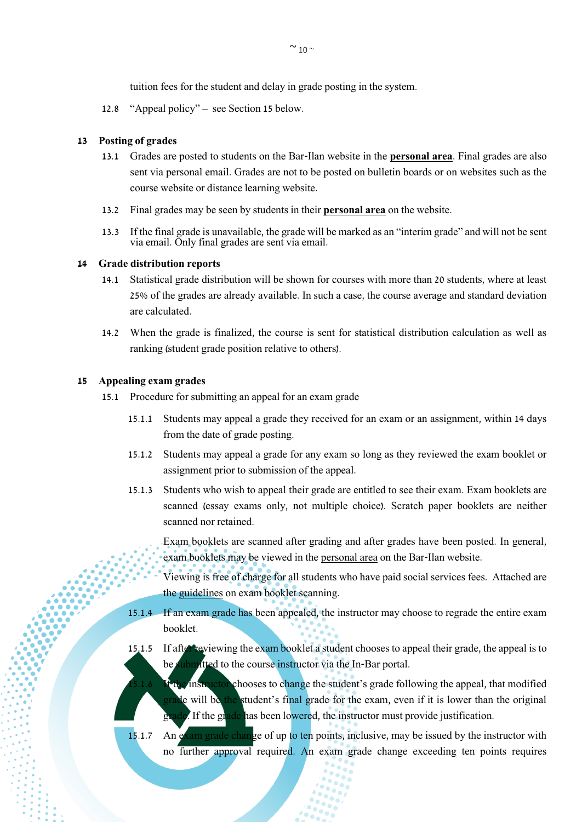tuition fees for the student and delay in grade posting in the system.

12.8 "Appeal policy" – see Section 15 below.

#### <span id="page-9-0"></span>**13 Posting of grades**

- 13.1 Grades are posted to students on the Bar-Ilan website in the **[personal area](https://dory.os.biu.ac.il/AIS/)**. Final grades are also sent via personal email. Grades are not to be posted on bulletin boards or on websites such as the course website or distance learning website.
- 13.2 Final grades may be seen by students in their **personal area** on the website.
- 13.3 If the final grade is unavailable, the grade will be marked as an "interim grade" and will not be sent via email. Only final grades are sent via email.

#### <span id="page-9-1"></span>**14 Grade distribution reports**

- 14.1 Statistical grade distribution will be shown for courses with more than 20 students, where at least 25% of the grades are already available. In such a case, the course average and standard deviation are calculated.
- 14.2 When the grade is finalized, the course is sent for statistical distribution calculation as well as ranking (student grade position relative to others).

#### <span id="page-9-2"></span>**15 Appealing exam grades**

- 15.1 Procedure for submitting an appeal for an exam grade
	- 15.1.1 Students may appeal a grade they received for an exam or an assignment, within 14 days from the date of grade posting.
	- 15.1.2 Students may appeal a grade for any exam so long as they reviewed the exam booklet or assignment prior to submission of the appeal.
	- 15.1.3 Students who wish to appeal their grade are entitled to see their exam. Exam booklets are scanned (essay exams only, not multiple choice). Scratch paper booklets are neither scanned nor retained.

Exam booklets are scanned after grading and after grades have been posted. In general, exam booklets may be viewed in the personal area on the Bar-Ilan website.

- Viewing is free of charge for all students who have paid social services fees. Attached are the [guidelines](http://stuad.biu.ac.il/node/988) on exam booklet scanning.
- 15.1.4 If an exam grade has been appealed, the instructor may choose to regrade the entire exam booklet.
- 15.1.5 If after reviewing the exam booklet a student chooses to appeal their grade, the appeal is to be submitted to the course instructor via the In-Bar portal.
- **If the instructor chooses to change the student's grade following the appeal, that modified** grade will be the student's final grade for the exam, even if it is lower than the original grade. If the grade has been lowered, the instructor must provide justification.
- 15.1.7 An exam grade change of up to ten points, inclusive, may be issued by the instructor with no further approval required. An exam grade change exceeding ten points requires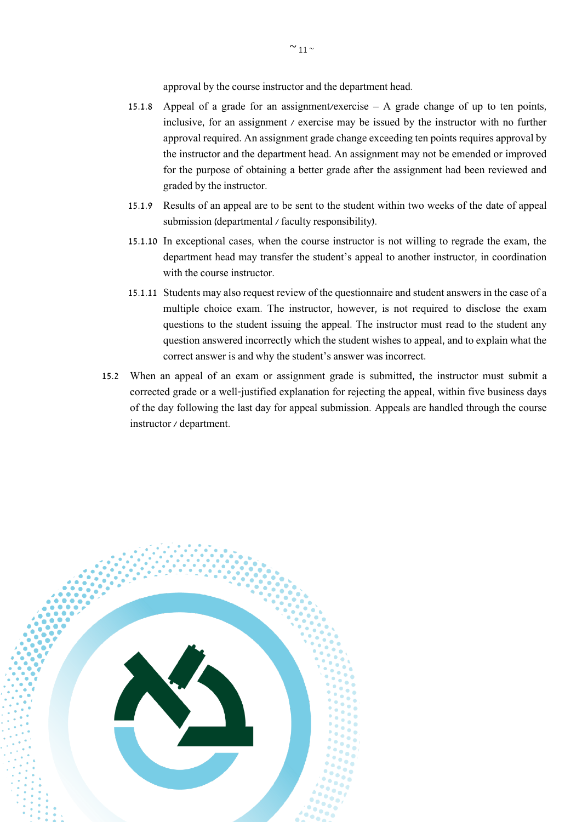approval by the course instructor and the department head.

- 15.1.8 Appeal of a grade for an assignment/exercise A grade change of up to ten points, inclusive, for an assignment  $\ell$  exercise may be issued by the instructor with no further approval required. An assignment grade change exceeding ten points requires approval by the instructor and the department head. An assignment may not be emended or improved for the purpose of obtaining a better grade after the assignment had been reviewed and graded by the instructor.
- 15.1.9 Results of an appeal are to be sent to the student within two weeks of the date of appeal submission (departmental / faculty responsibility).
- 15.1.10 In exceptional cases, when the course instructor is not willing to regrade the exam, the department head may transfer the student's appeal to another instructor, in coordination with the course instructor.
- 15.1.11 Students may also request review of the questionnaire and student answers in the case of a multiple choice exam. The instructor, however, is not required to disclose the exam questions to the student issuing the appeal. The instructor must read to the student any question answered incorrectly which the student wishes to appeal, and to explain what the correct answer is and why the student's answer was incorrect.
- 15.2 When an appeal of an exam or assignment grade is submitted, the instructor must submit a corrected grade or a well-justified explanation for rejecting the appeal, within five business days of the day following the last day for appeal submission. Appeals are handled through the course instructor / department.

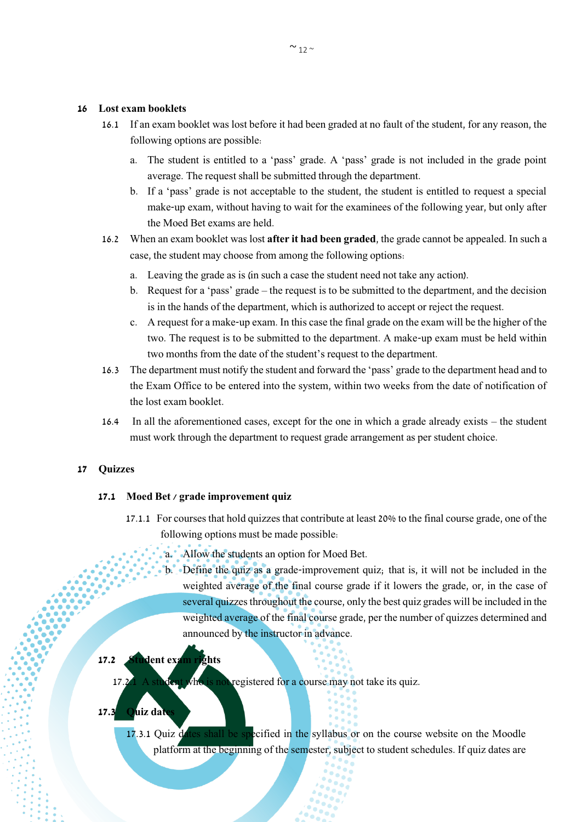#### <span id="page-11-0"></span>**16 Lost exam booklets**

- 16.1 If an exam booklet was lost before it had been graded at no fault of the student, for any reason, the following options are possible:
	- a. The student is entitled to a 'pass' grade. A 'pass' grade is not included in the grade point average. The request shall be submitted through the department.
	- b. If a 'pass' grade is not acceptable to the student, the student is entitled to request a special make-up exam, without having to wait for the examinees of the following year, but only after the Moed Bet exams are held.
- 16.2 When an exam booklet was lost **after it had been graded**, the grade cannot be appealed. In such a case, the student may choose from among the following options:
	- a. Leaving the grade as is (in such a case the student need not take any action).
	- b. Request for a 'pass' grade the request is to be submitted to the department, and the decision is in the hands of the department, which is authorized to accept or reject the request.
	- c. A request for a make-up exam. In this case the final grade on the exam will be the higher of the two. The request is to be submitted to the department. A make-up exam must be held within two months from the date of the student's request to the department.
- 16.3 The department must notify the student and forward the 'pass' grade to the department head and to the Exam Office to be entered into the system, within two weeks from the date of notification of the lost exam booklet.
- 16.4 In all the aforementioned cases, except for the one in which a grade already exists the student must work through the department to request grade arrangement as per student choice.

#### <span id="page-11-1"></span>**17 Quizzes**

#### **17.1 Moed Bet / grade improvement quiz**

- 17.1.1 For courses that hold quizzes that contribute at least 20% to the final course grade, one of the following options must be made possible:
	- a. Allow the students an option for Moed Bet.
	- b. Define the quiz as a grade-improvement quiz; that is, it will not be included in the weighted average of the final course grade if it lowers the grade, or, in the case of several quizzes throughout the course, only the best quiz grades will be included in the weighted average of the final course grade, per the number of quizzes determined and announced by the instructor in advance.

## **17.2 Student exam rights**

17.2.1 A student who is not registered for a course may not take its quiz.

## **17.3 Quiz dates**

17.3.1 Quiz dates shall be specified in the syllabus or on the course website on the Moodle platform at the beginning of the semester, subject to student schedules. If quiz dates are